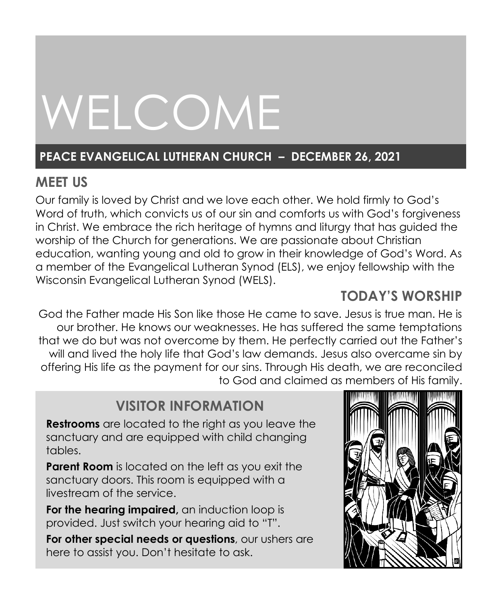# WELCOME

# **PEACE EVANGELICAL LUTHERAN CHURCH – DECEMBER 26, 2021**

# **MEET US**

Our family is loved by Christ and we love each other. We hold firmly to God's Word of truth, which convicts us of our sin and comforts us with God's forgiveness in Christ. We embrace the rich heritage of hymns and liturgy that has guided the worship of the Church for generations. We are passionate about Christian education, wanting young and old to grow in their knowledge of God's Word. As a member of the Evangelical Lutheran Synod (ELS), we enjoy fellowship with the Wisconsin Evangelical Lutheran Synod (WELS).

# **TODAY'S WORSHIP**

God the Father made His Son like those He came to save. Jesus is true man. He is our brother. He knows our weaknesses. He has suffered the same temptations that we do but was not overcome by them. He perfectly carried out the Father's will and lived the holy life that God's law demands. Jesus also overcame sin by offering His life as the payment for our sins. Through His death, we are reconciled to God and claimed as members of His family.

# **VISITOR INFORMATION**

**Restrooms** are located to the right as you leave the sanctuary and are equipped with child changing tables.

**Parent Room** is located on the left as you exit the sanctuary doors. This room is equipped with a livestream of the service.

**For the hearing impaired,** an induction loop is provided. Just switch your hearing aid to "T".

**For other special needs or questions**, our ushers are here to assist you. Don't hesitate to ask.

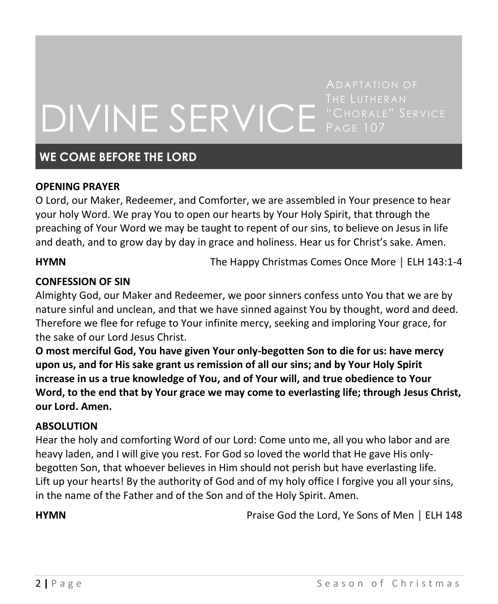# DIVINE SERVICE "CHORALE" SERVICE

# **WE COME BEFORE THE LORD**

#### **OPENING PRAYER**

O Lord, our Maker, Redeemer, and Comforter, we are assembled in Your presence to hear your holy Word. We pray You to open our hearts by Your Holy Spirit, that through the preaching of Your Word we may be taught to repent of our sins, to believe on Jesus in life and death, and to grow day by day in grace and holiness. Hear us for Christ's sake. Amen.

**HYMN** The Happy Christmas Comes Once More │ ELH 143:1-4

#### **CONFESSION OF SIN**

Almighty God, our Maker and Redeemer, we poor sinners confess unto You that we are by nature sinful and unclean, and that we have sinned against You by thought, word and deed. Therefore we flee for refuge to Your infinite mercy, seeking and imploring Your grace, for the sake of our Lord Jesus Christ.

**O most merciful God, You have given Your only-begotten Son to die for us: have mercy upon us, and for His sake grant us remission of all our sins; and by Your Holy Spirit increase in us a true knowledge of You, and of Your will, and true obedience to Your Word, to the end that by Your grace we may come to everlasting life; through Jesus Christ, our Lord. Amen.**

#### **ABSOLUTION**

Hear the holy and comforting Word of our Lord: Come unto me, all you who labor and are heavy laden, and I will give you rest. For God so loved the world that He gave His onlybegotten Son, that whoever believes in Him should not perish but have everlasting life. Lift up your hearts! By the authority of God and of my holy office I forgive you all your sins, in the name of the Father and of the Son and of the Holy Spirit. Amen.

**HYMN** Praise God the Lord, Ye Sons of Men │ ELH 148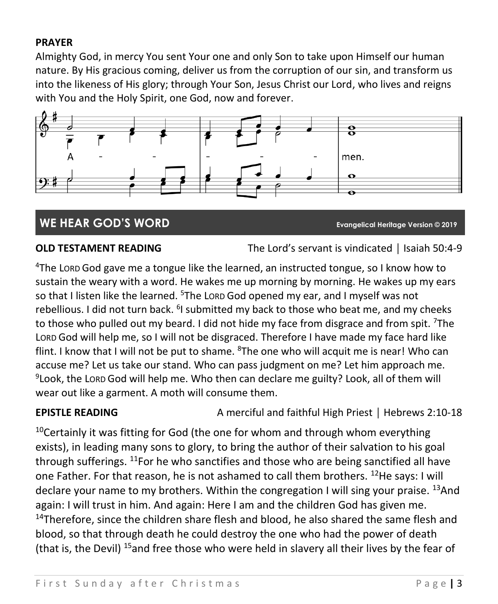## **PRAYER**

Almighty God, in mercy You sent Your one and only Son to take upon Himself our human nature. By His gracious coming, deliver us from the corruption of our sin, and transform us into the likeness of His glory; through Your Son, Jesus Christ our Lord, who lives and reigns with You and the Holy Spirit, one God, now and forever.



# **WE HEAR GOD'S WORD Evangelical Heritage Version © 2019**

**OLD TESTAMENT READING** The Lord's servant is vindicated | Isaiah 50:4-9

<sup>4</sup>The LORD God gave me a tongue like the learned, an instructed tongue, so I know how to sustain the weary with a word. He wakes me up morning by morning. He wakes up my ears so that I listen like the learned. <sup>5</sup>The Lorp God opened my ear, and I myself was not rebellious. I did not turn back. <sup>6</sup>I submitted my back to those who beat me, and my cheeks to those who pulled out my beard. I did not hide my face from disgrace and from spit. <sup>7</sup>The LORD God will help me, so I will not be disgraced. Therefore I have made my face hard like flint. I know that I will not be put to shame. <sup>8</sup>The one who will acquit me is near! Who can accuse me? Let us take our stand. Who can pass judgment on me? Let him approach me. 9 Look, the LORD God will help me. Who then can declare me guilty? Look, all of them will wear out like a garment. A moth will consume them.

**EPISTLE READING** A merciful and faithful High Priest | Hebrews 2:10-18

 $10$ Certainly it was fitting for God (the one for whom and through whom everything exists), in leading many sons to glory, to bring the author of their salvation to his goal through sufferings. <sup>11</sup>For he who sanctifies and those who are being sanctified all have one Father. For that reason, he is not ashamed to call them brothers. <sup>12</sup>He says: I will declare your name to my brothers. Within the congregation I will sing your praise. <sup>13</sup>And again: I will trust in him. And again: Here I am and the children God has given me.  $14$ Therefore, since the children share flesh and blood, he also shared the same flesh and blood, so that through death he could destroy the one who had the power of death (that is, the Devil) <sup>15</sup>and free those who were held in slavery all their lives by the fear of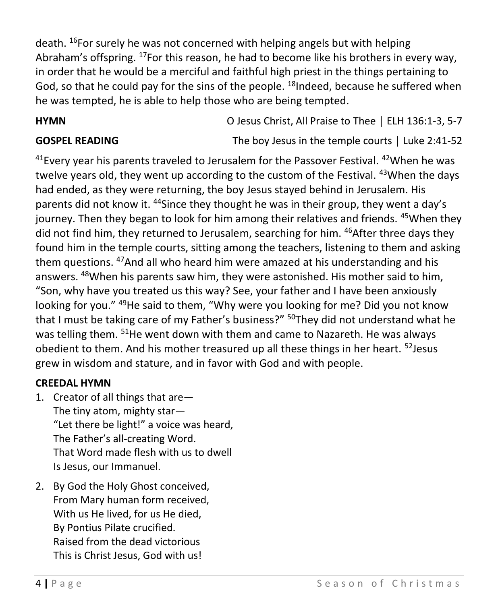death. <sup>16</sup>For surely he was not concerned with helping angels but with helping Abraham's offspring. <sup>17</sup>For this reason, he had to become like his brothers in every way, in order that he would be a merciful and faithful high priest in the things pertaining to God, so that he could pay for the sins of the people. <sup>18</sup>Indeed, because he suffered when he was tempted, he is able to help those who are being tempted.

**HYMN** O Jesus Christ, All Praise to Thee │ ELH 136:1-3, 5-7

**GOSPEL READING** The boy Jesus in the temple courts | Luke 2:41-52

 $41$ Every year his parents traveled to Jerusalem for the Passover Festival.  $42$ When he was twelve years old, they went up according to the custom of the Festival. <sup>43</sup>When the days had ended, as they were returning, the boy Jesus stayed behind in Jerusalem. His parents did not know it. <sup>44</sup>Since they thought he was in their group, they went a day's journey. Then they began to look for him among their relatives and friends. <sup>45</sup>When they did not find him, they returned to Jerusalem, searching for him. <sup>46</sup>After three days they found him in the temple courts, sitting among the teachers, listening to them and asking them questions. <sup>47</sup>And all who heard him were amazed at his understanding and his answers. <sup>48</sup>When his parents saw him, they were astonished. His mother said to him, "Son, why have you treated us this way? See, your father and I have been anxiously looking for you." <sup>49</sup>He said to them, "Why were you looking for me? Did you not know that I must be taking care of my Father's business?" <sup>50</sup>They did not understand what he was telling them. <sup>51</sup>He went down with them and came to Nazareth. He was always obedient to them. And his mother treasured up all these things in her heart. <sup>52</sup>Jesus grew in wisdom and stature, and in favor with God and with people.

## **CREEDAL HYMN**

- 1. Creator of all things that are— The tiny atom, mighty star— "Let there be light!" a voice was heard, The Father's all-creating Word. That Word made flesh with us to dwell Is Jesus, our Immanuel.
- 2. By God the Holy Ghost conceived, From Mary human form received, With us He lived, for us He died, By Pontius Pilate crucified. Raised from the dead victorious This is Christ Jesus, God with us!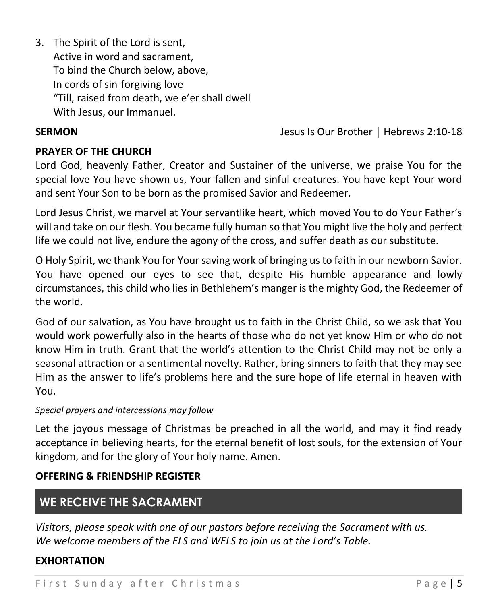3. The Spirit of the Lord is sent, Active in word and sacrament, To bind the Church below, above, In cords of sin-forgiving love "Till, raised from death, we e'er shall dwell With Jesus, our Immanuel.

**SERMON** Jesus Is Our Brother │ Hebrews 2:10-18

## **PRAYER OF THE CHURCH**

Lord God, heavenly Father, Creator and Sustainer of the universe, we praise You for the special love You have shown us, Your fallen and sinful creatures. You have kept Your word and sent Your Son to be born as the promised Savior and Redeemer.

Lord Jesus Christ, we marvel at Your servantlike heart, which moved You to do Your Father's will and take on our flesh. You became fully human so that You might live the holy and perfect life we could not live, endure the agony of the cross, and suffer death as our substitute.

O Holy Spirit, we thank You for Your saving work of bringing us to faith in our newborn Savior. You have opened our eyes to see that, despite His humble appearance and lowly circumstances, this child who lies in Bethlehem's manger is the mighty God, the Redeemer of the world.

God of our salvation, as You have brought us to faith in the Christ Child, so we ask that You would work powerfully also in the hearts of those who do not yet know Him or who do not know Him in truth. Grant that the world's attention to the Christ Child may not be only a seasonal attraction or a sentimental novelty. Rather, bring sinners to faith that they may see Him as the answer to life's problems here and the sure hope of life eternal in heaven with You.

#### *Special prayers and intercessions may follow*

Let the joyous message of Christmas be preached in all the world, and may it find ready acceptance in believing hearts, for the eternal benefit of lost souls, for the extension of Your kingdom, and for the glory of Your holy name. Amen.

## **OFFERING & FRIENDSHIP REGISTER**

# **WE RECEIVE THE SACRAMENT**

*Visitors, please speak with one of our pastors before receiving the Sacrament with us. We welcome members of the ELS and WELS to join us at the Lord's Table.*

## **EXHORTATION**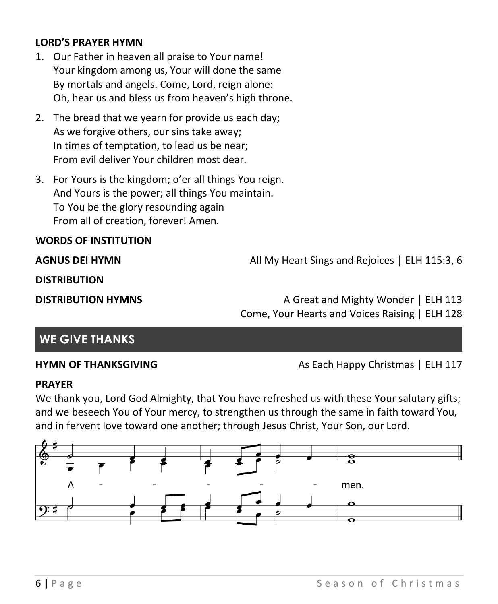### **LORD'S PRAYER HYMN**

- 1. Our Father in heaven all praise to Your name! Your kingdom among us, Your will done the same By mortals and angels. Come, Lord, reign alone: Oh, hear us and bless us from heaven's high throne.
- 2. The bread that we yearn for provide us each day; As we forgive others, our sins take away; In times of temptation, to lead us be near; From evil deliver Your children most dear.
- 3. For Yours is the kingdom; o'er all things You reign. And Yours is the power; all things You maintain. To You be the glory resounding again From all of creation, forever! Amen.

#### **WORDS OF INSTITUTION**

**AGNUS DEI HYMN** All My Heart Sings and Rejoices | ELH 115:3, 6

**DISTRIBUTION** 

**DISTRIBUTION HYMNS** A Great and Mighty Wonder | ELH 113 Come, Your Hearts and Voices Raising | ELH 128

## **WE GIVE THANKS**

**HYMN OF THANKSGIVING** As Each Happy Christmas | ELH 117

#### **PRAYER**

We thank you, Lord God Almighty, that You have refreshed us with these Your salutary gifts; and we beseech You of Your mercy, to strengthen us through the same in faith toward You, and in fervent love toward one another; through Jesus Christ, Your Son, our Lord.

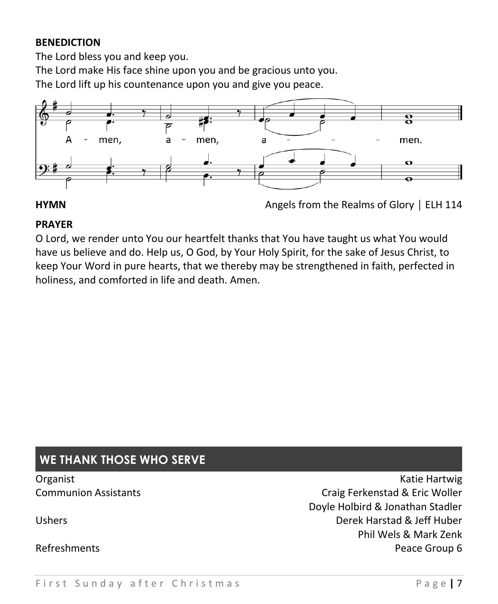## **BENEDICTION**

The Lord bless you and keep you.

The Lord make His face shine upon you and be gracious unto you.

The Lord lift up his countenance upon you and give you peace.



**HYMN** Angels from the Realms of Glory | ELH 114

## **PRAYER**

O Lord, we render unto You our heartfelt thanks that You have taught us what You would have us believe and do. Help us, O God, by Your Holy Spirit, for the sake of Jesus Christ, to keep Your Word in pure hearts, that we thereby may be strengthened in faith, perfected in holiness, and comforted in life and death. Amen.

# **WE THANK THOSE WHO SERVE**

Organist **Katie Hartwig** Constantine Material Constantine Material Constantine Material Constantine Material Constantine Material Constantine Material Constantine Material Constantine Material Constantine Material Constant Communion Assistants **Communion Assistants** Communion Assistants Doyle Holbird & Jonathan Stadler Ushers Derek Harstad & Jeff Huber Phil Wels & Mark Zenk Refreshments **Peace Group 6 Peace Group 6**